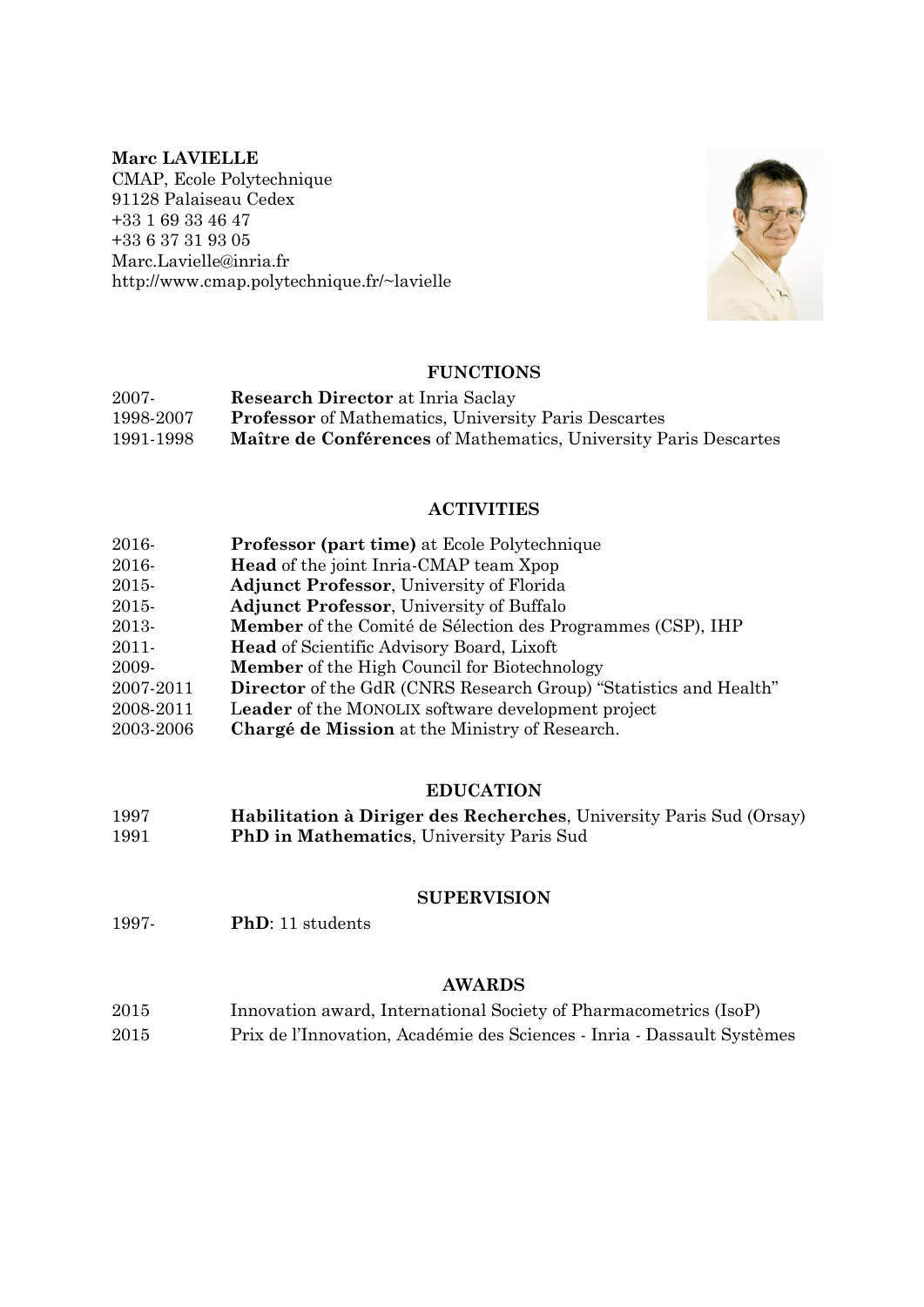# **Marc LAVIELLE**

CMAP, Ecole Polytechnique 91128 Palaiseau Cedex +33 1 69 33 46 47 +33 6 37 31 93 05 Marc.Lavielle@inria.fr http://www.cmap.polytechnique.fr/~lavielle



# **FUNCTIONS**

| 2007-     | <b>Research Director at Inria Saclay</b>                         |
|-----------|------------------------------------------------------------------|
| 1998-2007 | <b>Professor</b> of Mathematics, University Paris Descartes      |
| 1991-1998 | Maître de Conférences of Mathematics, University Paris Descartes |

# **ACTIVITIES**

- 2016- **Professor (part time)** at Ecole Polytechnique
- 2016- **Head** of the joint Inria-CMAP team Xpop
- 2015- **Adjunct Professor**, University of Florida
- 2015- **Adjunct Professor**, University of Buffalo
- 2013- **Member** of the Comité de Sélection des Programmes (CSP), IHP
- 2011- **Head** of Scientific Advisory Board, Lixoft
- 2009- **Member** of the High Council for Biotechnology
- 2007-2011 **Director** of the GdR (CNRS Research Group) "Statistics and Health"
- 2008-2011 L**eader** of the MONOLIX software development project
- 2003-2006 **Chargé de Mission** at the Ministry of Research.

# **EDUCATION**

1997 **Habilitation à Diriger des Recherches**, University Paris Sud (Orsay) 1991 **PhD in Mathematics**, University Paris Sud

# **SUPERVISION**

1997- **PhD**: 11 students

# **AWARDS**

2015 Innovation award, International Society of Pharmacometrics (IsoP) 2015 Prix de l'Innovation, Académie des Sciences - Inria - Dassault Systèmes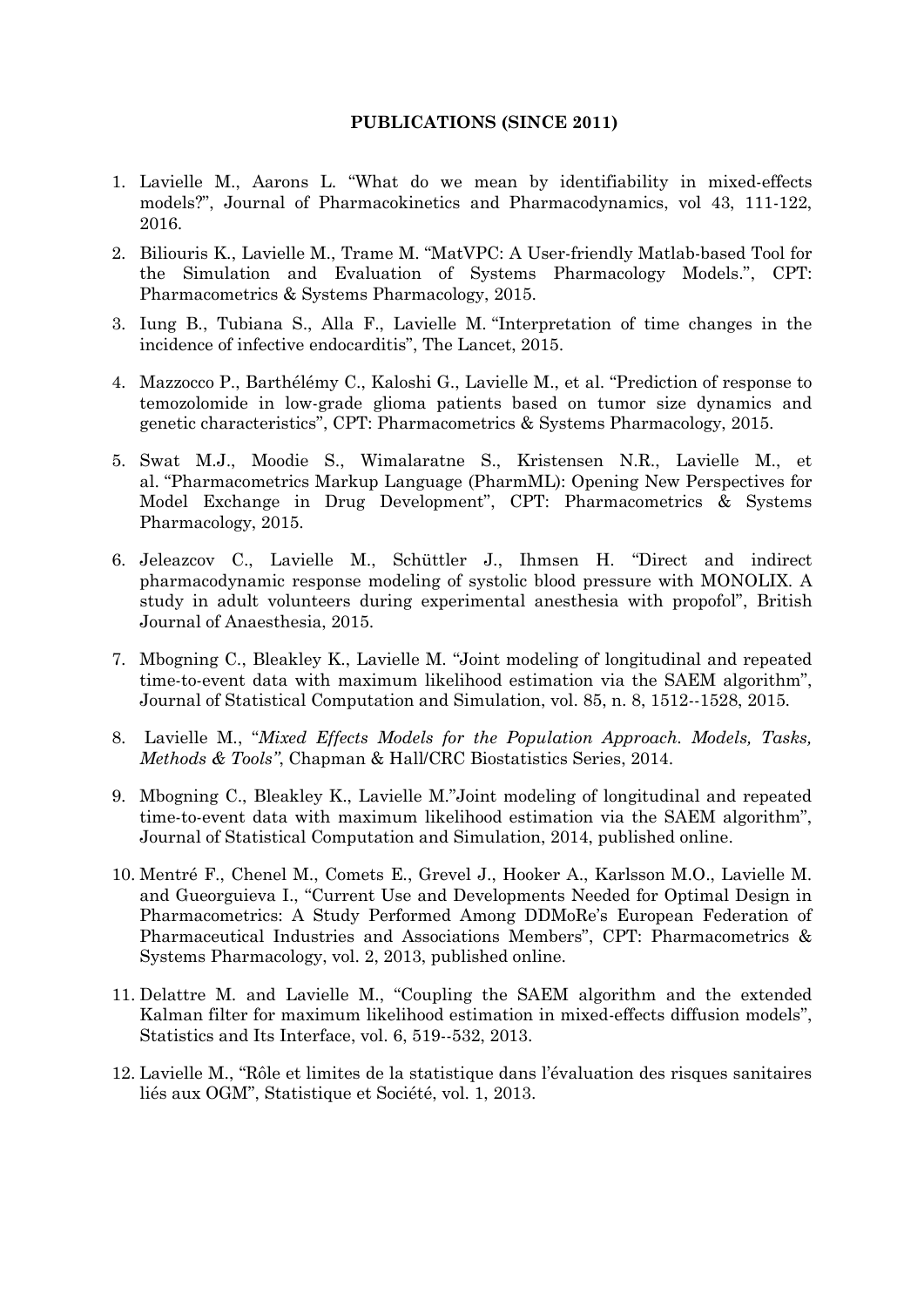#### **PUBLICATIONS (SINCE 2011)**

- 1. Lavielle M., Aarons L. "What do we mean by identifiability in mixed-effects models?", Journal of Pharmacokinetics and Pharmacodynamics, vol 43, 111-122, 2016.
- 2. Biliouris K., Lavielle M., Trame M. "MatVPC: A User-friendly Matlab-based Tool for the Simulation and Evaluation of Systems Pharmacology Models.", CPT: Pharmacometrics & Systems Pharmacology, 2015.
- 3. Iung B., Tubiana S., Alla F., Lavielle M. "Interpretation of time changes in the incidence of infective endocarditis", The Lancet, 2015.
- 4. Mazzocco P., Barthélémy C., Kaloshi G., Lavielle M., et al. "Prediction of response to temozolomide in low-grade glioma patients based on tumor size dynamics and genetic characteristics", CPT: Pharmacometrics & Systems Pharmacology, 2015.
- 5. Swat M.J., Moodie S., Wimalaratne S., Kristensen N.R., Lavielle M., et al. "Pharmacometrics Markup Language (PharmML): Opening New Perspectives for Model Exchange in Drug Development", CPT: Pharmacometrics & Systems Pharmacology, 2015.
- 6. Jeleazcov C., Lavielle M., Schüttler J., Ihmsen H. "Direct and indirect pharmacodynamic response modeling of systolic blood pressure with MONOLIX. A study in adult volunteers during experimental anesthesia with propofol", British Journal of Anaesthesia, 2015.
- 7. Mbogning C., Bleakley K., Lavielle M. "Joint modeling of longitudinal and repeated time-to-event data with maximum likelihood estimation via the SAEM algorithm", Journal of Statistical Computation and Simulation, vol. 85, n. 8, 1512--1528, 2015.
- 8. Lavielle M., "*Mixed Effects Models for the Population Approach. Models, Tasks, Methods & Tools"*, Chapman & Hall/CRC Biostatistics Series, 2014.
- 9. Mbogning C., Bleakley K., Lavielle M."Joint modeling of longitudinal and repeated time-to-event data with maximum likelihood estimation via the SAEM algorithm", Journal of Statistical Computation and Simulation, 2014, published online.
- 10. Mentré F., Chenel M., Comets E., Grevel J., Hooker A., Karlsson M.O., Lavielle M. and Gueorguieva I., "Current Use and Developments Needed for Optimal Design in Pharmacometrics: A Study Performed Among DDMoRe's European Federation of Pharmaceutical Industries and Associations Members", CPT: Pharmacometrics & Systems Pharmacology, vol. 2, 2013, published online.
- 11. Delattre M. and Lavielle M., "Coupling the SAEM algorithm and the extended Kalman filter for maximum likelihood estimation in mixed-effects diffusion models", Statistics and Its Interface, vol. 6, 519--532, 2013.
- 12. Lavielle M., "Rôle et limites de la statistique dans l'évaluation des risques sanitaires liés aux OGM", Statistique et Société, vol. 1, 2013.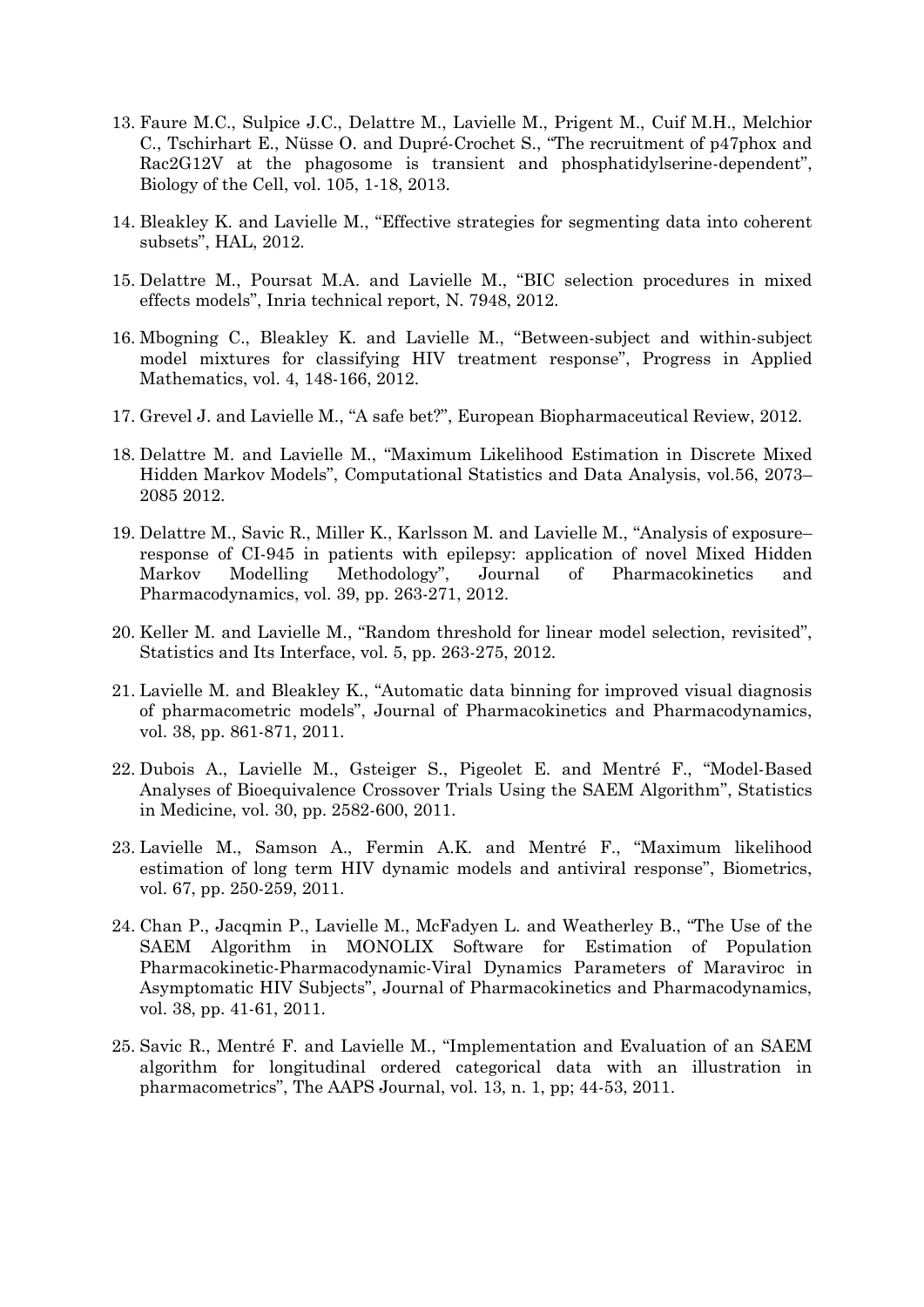- 13. Faure M.C., Sulpice J.C., Delattre M., Lavielle M., Prigent M., Cuif M.H., Melchior C., Tschirhart E., Nüsse O. and Dupré-Crochet S., "The recruitment of p47phox and Rac2G12V at the phagosome is transient and phosphatidylserine-dependent", Biology of the Cell, vol. 105, 1-18, 2013.
- 14. Bleakley K. and Lavielle M., "Effective strategies for segmenting data into coherent subsets", HAL, 2012.
- 15. Delattre M., Poursat M.A. and Lavielle M., "BIC selection procedures in mixed effects models", Inria technical report, N. 7948, 2012.
- 16. Mbogning C., Bleakley K. and Lavielle M., "Between-subject and within-subject model mixtures for classifying HIV treatment response", Progress in Applied Mathematics, vol. 4, 148-166, 2012.
- 17. Grevel J. and Lavielle M., "A safe bet?", European Biopharmaceutical Review, 2012.
- 18. Delattre M. and Lavielle M., "Maximum Likelihood Estimation in Discrete Mixed Hidden Markov Models", Computational Statistics and Data Analysis, vol.56, 2073– 2085 2012.
- 19. Delattre M., Savic R., Miller K., Karlsson M. and Lavielle M., "Analysis of exposure– response of CI-945 in patients with epilepsy: application of novel Mixed Hidden Markov Modelling Methodology", Journal of Pharmacokinetics and Pharmacodynamics, vol. 39, pp. 263-271, 2012.
- 20. Keller M. and Lavielle M., "Random threshold for linear model selection, revisited", Statistics and Its Interface, vol. 5, pp. 263-275, 2012.
- 21. Lavielle M. and Bleakley K., "Automatic data binning for improved visual diagnosis of pharmacometric models", Journal of Pharmacokinetics and Pharmacodynamics, vol. 38, pp. 861-871, 2011.
- 22. Dubois A., Lavielle M., Gsteiger S., Pigeolet E. and Mentré F., "Model-Based Analyses of Bioequivalence Crossover Trials Using the SAEM Algorithm", Statistics in Medicine, vol. 30, pp. 2582-600, 2011.
- 23. Lavielle M., Samson A., Fermin A.K. and Mentré F., "Maximum likelihood estimation of long term HIV dynamic models and antiviral response", Biometrics, vol. 67, pp. 250-259, 2011.
- 24. Chan P., Jacqmin P., Lavielle M., McFadyen L. and Weatherley B., "The Use of the SAEM Algorithm in MONOLIX Software for Estimation of Population Pharmacokinetic-Pharmacodynamic-Viral Dynamics Parameters of Maraviroc in Asymptomatic HIV Subjects", Journal of Pharmacokinetics and Pharmacodynamics, vol. 38, pp. 41-61, 2011.
- 25. Savic R., Mentré F. and Lavielle M., "Implementation and Evaluation of an SAEM algorithm for longitudinal ordered categorical data with an illustration in pharmacometrics", The AAPS Journal, vol. 13, n. 1, pp; 44-53, 2011.